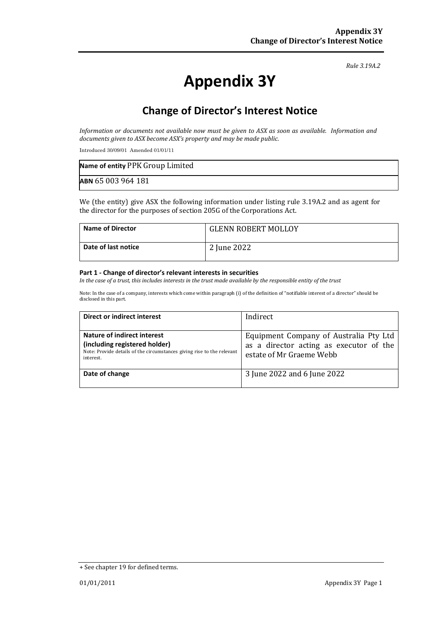#### *Rule 3.19A.2*

# **Appendix 3Y**

# **Change of Director's Interest Notice**

*Information or documents not available now must be given to ASX as soon as available. Information and documents given to ASX become ASX's property and may be made public.*

Introduced 30/09/01 Amended 01/01/11

| Name of entity PPK Group Limited |  |
|----------------------------------|--|
| ABN 65 003 964 181               |  |

We (the entity) give ASX the following information under listing rule 3.19A.2 and as agent for the director for the purposes of section 205G of the Corporations Act.

| <b>Name of Director</b> | <b>GLENN ROBERT MOLLOY</b> |
|-------------------------|----------------------------|
| Date of last notice     | 2 June 2022                |

#### **Part 1 - Change of director's relevant interests in securities**

*In the case of a trust, this includes interests in the trust made available by the responsible entity of the trust*

Note: In the case of a company, interests which come within paragraph (i) of the definition of "notifiable interest of a director" should be disclosed in this part.

| Direct or indirect interest                                                                                                                         | Indirect                                                                                                      |
|-----------------------------------------------------------------------------------------------------------------------------------------------------|---------------------------------------------------------------------------------------------------------------|
| Nature of indirect interest<br>(including registered holder)<br>Note: Provide details of the circumstances giving rise to the relevant<br>interest. | Equipment Company of Australia Pty Ltd<br>as a director acting as executor of the<br>estate of Mr Graeme Webb |
| Date of change                                                                                                                                      | 3 June 2022 and 6 June 2022                                                                                   |

<sup>+</sup> See chapter 19 for defined terms.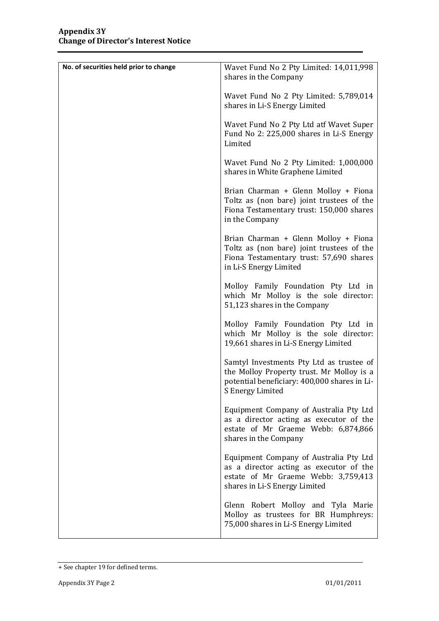| No. of securities held prior to change | Wavet Fund No 2 Pty Limited: 14,011,998<br>shares in the Company                                                                                          |
|----------------------------------------|-----------------------------------------------------------------------------------------------------------------------------------------------------------|
|                                        | Wavet Fund No 2 Pty Limited: 5,789,014<br>shares in Li-S Energy Limited                                                                                   |
|                                        | Wavet Fund No 2 Pty Ltd atf Wavet Super<br>Fund No 2: 225,000 shares in Li-S Energy<br>Limited                                                            |
|                                        | Wavet Fund No 2 Pty Limited: 1,000,000<br>shares in White Graphene Limited                                                                                |
|                                        | Brian Charman + Glenn Molloy + Fiona<br>Toltz as (non bare) joint trustees of the<br>Fiona Testamentary trust: 150,000 shares<br>in the Company           |
|                                        | Brian Charman + Glenn Molloy + Fiona<br>Toltz as (non bare) joint trustees of the<br>Fiona Testamentary trust: 57,690 shares<br>in Li-S Energy Limited    |
|                                        | Molloy Family Foundation Pty Ltd in<br>which Mr Molloy is the sole director:<br>51,123 shares in the Company                                              |
|                                        | Molloy Family Foundation Pty Ltd in<br>which Mr Molloy is the sole director:<br>19,661 shares in Li-S Energy Limited                                      |
|                                        | Samtyl Investments Pty Ltd as trustee of<br>the Molloy Property trust. Mr Molloy is a<br>potential beneficiary: 400,000 shares in Li-<br>S Energy Limited |
|                                        | Equipment Company of Australia Pty Ltd<br>as a director acting as executor of the<br>estate of Mr Graeme Webb: 6,874,866<br>shares in the Company         |
|                                        | Equipment Company of Australia Pty Ltd<br>as a director acting as executor of the<br>estate of Mr Graeme Webb: 3,759,413<br>shares in Li-S Energy Limited |
|                                        | Glenn Robert Molloy and Tyla Marie<br>Molloy as trustees for BR Humphreys:<br>75,000 shares in Li-S Energy Limited                                        |

<sup>+</sup> See chapter 19 for defined terms.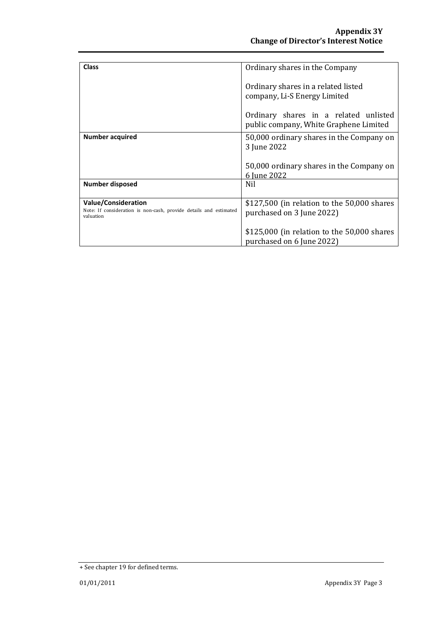| <b>Class</b>                                                                                    | Ordinary shares in the Company              |
|-------------------------------------------------------------------------------------------------|---------------------------------------------|
|                                                                                                 |                                             |
|                                                                                                 | Ordinary shares in a related listed         |
|                                                                                                 | company, Li-S Energy Limited                |
|                                                                                                 |                                             |
|                                                                                                 | Ordinary shares in a related unlisted       |
|                                                                                                 | public company, White Graphene Limited      |
| <b>Number acquired</b>                                                                          | 50,000 ordinary shares in the Company on    |
|                                                                                                 | 3 June 2022                                 |
|                                                                                                 |                                             |
|                                                                                                 | 50,000 ordinary shares in the Company on    |
|                                                                                                 | 6 June 2022                                 |
| <b>Number disposed</b>                                                                          | Nil                                         |
|                                                                                                 |                                             |
| <b>Value/Consideration</b><br>Note: If consideration is non-cash, provide details and estimated | \$127,500 (in relation to the 50,000 shares |
| valuation                                                                                       | purchased on 3 June 2022)                   |
|                                                                                                 |                                             |
|                                                                                                 | \$125,000 (in relation to the 50,000 shares |
|                                                                                                 | purchased on 6 June 2022)                   |

<sup>+</sup> See chapter 19 for defined terms.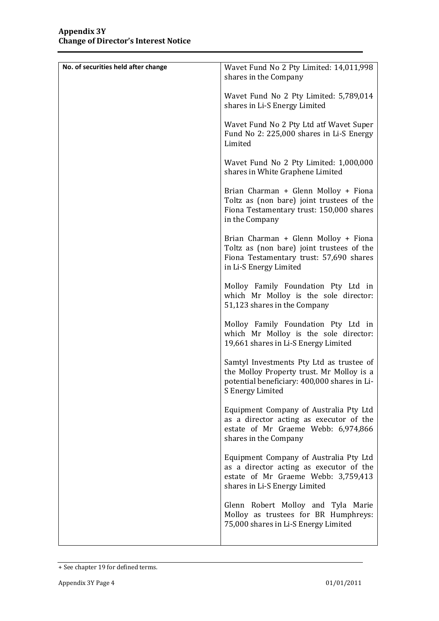| No. of securities held after change | Wavet Fund No 2 Pty Limited: 14,011,998<br>shares in the Company                                                                                          |
|-------------------------------------|-----------------------------------------------------------------------------------------------------------------------------------------------------------|
|                                     | Wavet Fund No 2 Pty Limited: 5,789,014<br>shares in Li-S Energy Limited                                                                                   |
|                                     | Wavet Fund No 2 Pty Ltd atf Wavet Super<br>Fund No 2: 225,000 shares in Li-S Energy<br>Limited                                                            |
|                                     | Wavet Fund No 2 Pty Limited: 1,000,000<br>shares in White Graphene Limited                                                                                |
|                                     | Brian Charman + Glenn Molloy + Fiona<br>Toltz as (non bare) joint trustees of the<br>Fiona Testamentary trust: 150,000 shares<br>in the Company           |
|                                     | Brian Charman + Glenn Molloy + Fiona<br>Toltz as (non bare) joint trustees of the<br>Fiona Testamentary trust: 57,690 shares<br>in Li-S Energy Limited    |
|                                     | Molloy Family Foundation Pty Ltd in<br>which Mr Molloy is the sole director:<br>51,123 shares in the Company                                              |
|                                     | Molloy Family Foundation Pty Ltd in<br>which Mr Molloy is the sole director:<br>19,661 shares in Li-S Energy Limited                                      |
|                                     | Samtyl Investments Pty Ltd as trustee of<br>the Molloy Property trust. Mr Molloy is a<br>potential beneficiary: 400,000 shares in Li-<br>S Energy Limited |
|                                     | Equipment Company of Australia Pty Ltd<br>as a director acting as executor of the<br>estate of Mr Graeme Webb: 6,974,866<br>shares in the Company         |
|                                     | Equipment Company of Australia Pty Ltd<br>as a director acting as executor of the<br>estate of Mr Graeme Webb: 3,759,413<br>shares in Li-S Energy Limited |
|                                     | Glenn Robert Molloy and Tyla Marie<br>Molloy as trustees for BR Humphreys:<br>75,000 shares in Li-S Energy Limited                                        |

<sup>+</sup> See chapter 19 for defined terms.